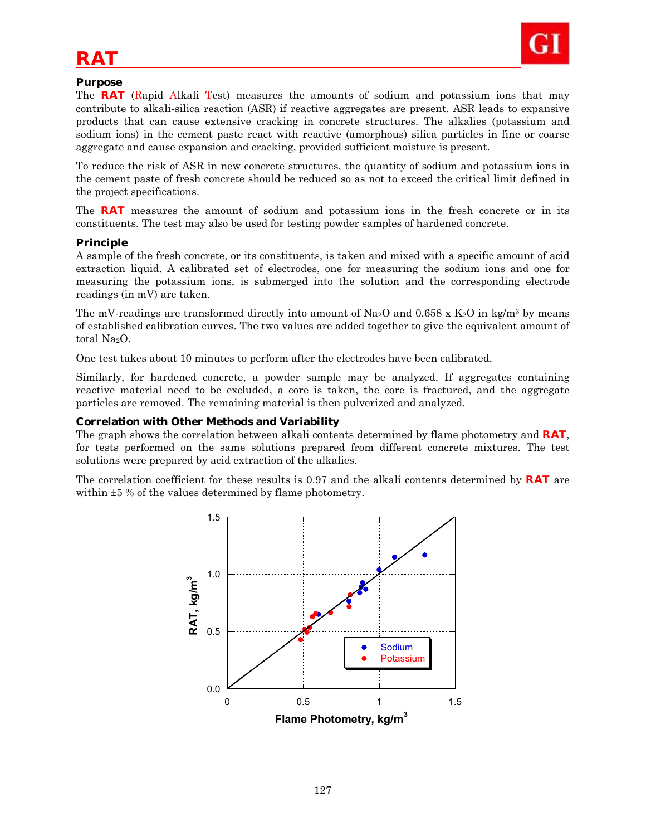

# *RAT*

### **Purpose**

The **RAT** (Rapid Alkali Test) measures the amounts of sodium and potassium ions that may contribute to alkali-silica reaction (ASR) if reactive aggregates are present. ASR leads to expansive products that can cause extensive cracking in concrete structures. The alkalies (potassium and sodium ions) in the cement paste react with reactive (amorphous) silica particles in fine or coarse aggregate and cause expansion and cracking, provided sufficient moisture is present.

To reduce the risk of ASR in new concrete structures, the quantity of sodium and potassium ions in the cement paste of fresh concrete should be reduced so as not to exceed the critical limit defined in the project specifications.

The **RAT** measures the amount of sodium and potassium ions in the fresh concrete or in its constituents. The test may also be used for testing powder samples of hardened concrete.

#### **Principle**

A sample of the fresh concrete, or its constituents, is taken and mixed with a specific amount of acid extraction liquid. A calibrated set of electrodes, one for measuring the sodium ions and one for measuring the potassium ions, is submerged into the solution and the corresponding electrode readings (in mV) are taken.

The mV-readings are transformed directly into amount of Na<sub>2</sub>O and 0.658 x K<sub>2</sub>O in kg/m<sup>3</sup> by means of established calibration curves. The two values are added together to give the equivalent amount of total Na<sub>2</sub>O.

One test takes about 10 minutes to perform after the electrodes have been calibrated.

Similarly, for hardened concrete, a powder sample may be analyzed. If aggregates containing reactive material need to be excluded, a core is taken, the core is fractured, and the aggregate particles are removed. The remaining material is then pulverized and analyzed.

#### **Correlation with Other Methods and Variability**

The graph shows the correlation between alkali contents determined by flame photometry and **RAT**, for tests performed on the same solutions prepared from different concrete mixtures. The test solutions were prepared by acid extraction of the alkalies.

The correlation coefficient for these results is 0.97 and the alkali contents determined by **RAT** are within  $\pm 5$  % of the values determined by flame photometry.